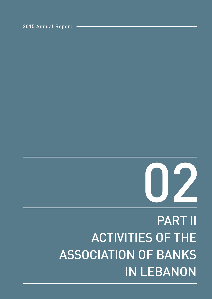# PART II ACTIVITIES OF THE ASSOCIATION OF BANKS IN LEBANON



2015 Annual Report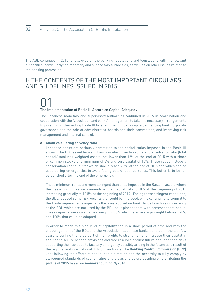The ABL continued in 2015 to follow-up on the banking regulations and legislations with the relevant authorities, particularly the monetary and supervisory authorities, as well as on other issues related to the banking profession.

### I- THE CONTENTS OF THE MOST IMPORTANT CIRCULARS AND GUIDELINES ISSUED IN 2015

### 01 The Implementation of Basle III Accord on Capital Adequacy

The Lebanese monetary and supervisory authorities continued in 2015 in coordination and cooperation with the Association and banks' management to take the necessary arrangements to pursuing implementing Basle III by strengthening bank capital, enhancing bank corporate governance and the role of administrative boards and their committees, and improving risk management and internal control.

#### **About calculating solvency ratio**  a-

Lebanese banks are seriously committed to the capital ratios imposed in the Basle III accord. The BDL asked banks in basic circular no.44 to secure a total solvency ratio (total capital/ total risk weighted assets) not lower than 12% at the end of 2015 with a share of common stocks of a minimum of 8% and core capital of 10%. These ratios include a conservation capital buffer which should reach 2.5% at the end of 2015 and which can be used during emergencies to avoid falling below required ratios. This buffer is to be reestablished after the end of the emergency.

These minimum ratios are more stringent than ones imposed in the Basle III accord where the Basle committee recommends a total capital ratio of 8% at the beginning of 2015 increasing gradually to 10.5% at the beginning of 2019. Facing these stringent conditions, the BDL reduced some risk weights that could be improved, while continuing to commit to the Basle requirements especially the ones applied on bank deposits in foreign currency at the BDL which are not used by the BDL as it places them with correspondent banks. These deposits were given a risk weight of 50% which is an average weight between 20% and 100% that could be adopted.

In order to reach this high level of capitalization in a short period of time and with the encouragement of the BDL and the Association, Lebanese banks adhered in the last few years to confine the large part of their profits to strengthen and increase their capital in addition to secure needed provisions and free reserves against future non-identified risks supporting their abilities to face any emergency possibly arising in the future as a result of the regional and international difficult conditions. The **Banking Control Commission (BCC)**  kept following the efforts of banks in this direction and the necessity to fully comply by all required standards of capital ratios and provisions before deciding on distributing **the profits of 2015** based on **memorandum no. 3/2016.**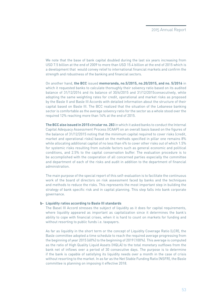We note that the base of bank capital doubled during the last six years increasing from USD 7.5 billion at the end of 2009 to more than USD 15.4 billion at the end of 2015 which is a development that would convey relief to international financial markets and confirm the strength and robustness of the banking and financial sectors.

On another hand, **the BCC** issued **memoranda, no.5/2015, no.20/2015, and no. 5/2016** in which it requested banks to calculate thoroughly their solvency ratio based on its audited balance of 31/12/2014 and its balance of 30/6/2015 and 31/12/2015consecutively, while adopting the same weighting rates for credit, operational and market risks as proposed by the Basle II and Basle III Accords with detailed information about the structure of their capital based on Basle III. The BCC realized that the situation of the Lebanese banking sector is comfortable as the average solvency ratio for the sector as a whole stood over the required 12% reaching more than 14% at the end of 2015.

**The BCC also issued in 2015 circular no. 283** in which it asked banks to conduct the Internal Capital Adequacy Assessment Process (ICAAP) on an overall basis based on the figures of the balance of 31/12/2015 noting that the minimum capital required to cover risks (credit, market and operational risks) based on the methods specified in pillar one remains 8% while allocating additional capital of no less than 4% to cover other risks out of which 1.5% for systemic risks resulting from outside factors such as general economic and political conditions, and 2.5% to the capital conservation buffer. The evaluation procedure is to be accomplished with the cooperation of all concerned parties especially the committee and department of each of the risks and audit in addition to the department of financial administration.

The main purpose of the special report of this self-evaluation is to facilitate the continuous work of the board of directors on risk assessment faced by banks and the techniques and methods to reduce the risks. This represents the most important step in building the strategy of bank specific risk and in capital planning. This step falls into bank corporate governance.

#### **Liquidity ratios according to Basle III standards** b-

The Basel III Accord stresses the subject of liquidity as it does for capital requirements, where liquidity appeared as important as capitalization since it determines the bank's ability to cope with financial crises, when it is hard to count on markets for funding and without resorting to public funds i.e. taxpayers.

As far as liquidity in the short term or the concept of Liquidity Coverage Ratio (LCR), the Basle committee adopted a time schedule to reach the required average progressing from the beginning of year 2015 (60%) to the beginning of 2019 (100%). This average is computed as the ratio of High Quality Liquid Assets (HQLA) to the total monetary outflows from the bank net of inflows over a period of 30 consecutive days. The purpose is to determine if the bank is capable of satisfying its liquidity needs over a month in the case of crisis without resorting to the market. In as far as the Net Stable Funding Ratio (NSFR), the Basle committee is planning on imposing it effective 2018.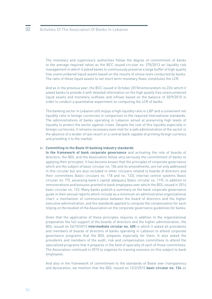The monetary and supervisory authorities follow the degree of commitment of banks to the average required ratios as the BCC issued circular no. 275/2013 on liquidity risk management in which it asked banks to continuously preserve a large buffer of high quality free unencumbered liquid assets based on the results of stress tests conducted by banks. The ratio of these liquid assets to net short term monetary flows constitutes the LCR.

And as in the previous year, the BCC issued in October 2015memorandum no.22in which it asked banks to provide it with detailed information on the high quality free unencumbered liquid assets and monetary outflows and inflows based on the balance of 30/9/2015 in order to conduct a quantitative experiment on computing the LCR of banks.

The banking sector in Lebanon still enjoys a high liquidity ratio in LBP and a convenient net liquidity ratio in foreign currencies in comparison to the required international standards. The administrations of banks operating in Lebanon aimed at preserving high levels of liquidity to protect the sector against crises. Despite the cost of this liquidity especially in foreign currencies, it remains necessary even vital for a safe administration of the sector in the absence of a lender of last resort or a central bank capable of printing foreign currency and providing it to the market.

#### **Committing to the Basle III banking industry standards**  c-

**In the framework of bank corporate governance** and activating the role of boards of directors, the BDL and the Association follow very seriously the commitment of banks to applying their principles. It has become known that the principles of corporate governance which are the subject of basic circular no. 106 and its amendments, are not only addressed in this circular but are also included in other circulars related to boards of directors and their committees (basic circulars no. 118 and no. 132), internal control systems (basic circular no. 77), assessing bank's capital adequacy (basic circular no. 119), in addition to remunerations and bonuses granted to bank employees over which the BDL issued in 2014 basic circular no. 133. Many banks publish a summary on the bank corporate governance guide in their annual reports which include as a minimum an administrative organizational chart, a mechanism of communication between the board of directors and the higher executive administration, and the standards applied to compute the compensation for each relying on the booklet of the Association on the corporate governance guidelines for banks.

Given that the application of these principles requires in addition to the organizational preparation the full support of the boards of directors and the higher administration, the BDL issued on 26/10/2015 **intermediate circular no. 405** in which it asked all presidents and members of boards of directors of banks operating in Lebanon to attend corporate governance programs that the BDL prepares especially for them. It also asked the presidents and members of the audit, risk and compensation committees to attend the specialized programs that it prepares in the field of specialty of each of those committees. The Association continued in 2015 to organize its training sessions on this subject to bank employees.

And also in the framework of commitment to the standards of Basle over transparency and declaration, we mention that the BDL issued on 12/2/2015 **basic circular no. 134** on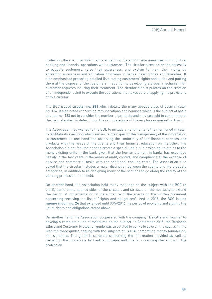protecting the customer which aims at defining the appropriate measures of conducting banking and financial operations with customers. The circular stressed on the necessity to educate customers, raise their awareness, and explain to them their rights by spreading awareness and education programs in banks' head offices and branches. It also emphasized preparing detailed lists stating customers' rights and duties and putting them at the disposal of the customers in addition to developing a proper mechanism for customer requests insuring their treatment. The circular also stipulates on the creation of an independent Unit to execute the operations that takes care of applying the provisions of this circular.

The BCC issued **circular no. 281** which details the many applied sides of basic circular no. 134. It also noted concerning remunerations and bonuses which is the subject of basic circular no. 133 not to consider the number of products and services sold to customers as the main standard in determining the remunerations of the employees marketing them.

The Association had wished to the BDL to include amendments to the mentioned circular to facilitate its execution which serves its main goal or the transparency of the information to customers on one hand and observing the conformity of the financial services and products with the needs of the clients and their financial education on the other. The Association did not feel the need to create a special unit but in assigning its duties to the many existing units in the bank given that the human element in banks has expanded heavily in the last years in the areas of audit, control, and compliance at the expense of service and commercial tasks with the additional ensuing costs. The Association also asked that the circular includes a major distinction between the clients and the products categories, in addition to re-designing many of the sections to go along the reality of the banking profession in the field.

On another hand, the Association held many meetings on the subject with the BCC to clarify some of the applied sides of the circular, and stressed on the necessity to extend the period of implementation of the signature of the agents on the written document concerning receiving the list of "rights and obligations". And in 2015, the BCC issued **memorandum no. 24** that extended until 30/6/2016 the period of providing and signing the list of rights and obligations stated above.

On another hand, the Association cooperated with the company "Deloitte and Touche" to develop a complete guide of measures on the subject. In September 2015, the Business Ethics and Customer Protection guide was circulated to banks to save on the cost as in line with the three guides dealing with the subjects of FATCA, combatting money laundering, and sanctions. This guide is complete concerning the information provided as well as managing the operations by bank employees and finally concerning the ethics of the profession.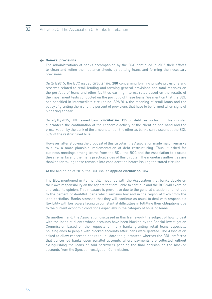#### **General provisions** d-

The administrations of banks accompanied by the BCC continued in 2015 their efforts to clean and refine their balance sheets by settling loans and forming the necessary provisions.

On 2/1/2015, the BCC issued **circular no. 280** concerning forming private provisions and reserves related to retail lending and forming general provisions and total reserves on the portfolio of loans and other facilities earning interest rates based on the results of the impairment tests conducted on the portfolio of these loans. We mention that the BDL had specified in intermediate circular no. 369/2014 the meaning of retail loans and the policy of granting them and the percent of provisions that have to be formed when signs of hindering appear.

On 26/10/2015, BDL issued basic **circular no. 135** on debt restructuring. This circular guarantees the continuation of the economic activity of the client on one hand and the preservation by the bank of the amount lent on the other as banks can discount at the BDL 50% of the restructured bills.

However, after studying the proposal of this circular, the Association made major remarks to allow a more plausible implementation of debt restructuring. Thus, it asked for business meetings among teams from the BDL, the BCC and the Association to discuss these remarks and the many practical sides of this circular. The monetary authorities are thanked for taking these remarks into consideration before issuing the stated circular.

At the beginning of 2016, the BCC issued **applied circular no. 284.**

The BDL mentioned in its monthly meetings with the Association that banks decide on their own responsibility on the agents that are liable to continue and the BCC will examine and voice its opinion. This measure is preventive due to the general situation and not due to the percent of doubtful loans which remains low and in the region of 3.6% from the loan portfolios. Banks stressed that they will continue as usual to deal with responsible flexibility with borrowers facing circumstantial difficulties in fulfilling their obligations due to the current economic conditions especially in the category of housing loans.

On another hand, the Association discussed in this framework the subject of how to deal with the loans of clients whose accounts have been blocked by the Special Investigation Commission based on the requests of many banks granting retail loans especially housing ones to people with blocked accounts after loans were granted. The Association asked to allow concerned banks to liquidate the guarantees whereas the BDL preferred that concerned banks open parallel accounts where payments are collected without extinguishing the loans of said borrowers pending the final decision on the blocked accounts from the Special Investigation Commission.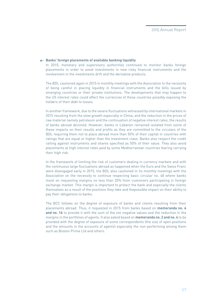#### **Banks' foreign placements of available banking liquidity**  e-

In 2015, monetary and supervisory authorities continued to monitor banks foreign placements in order to avoid investments in new risky financial instruments and the involvement in the investments drift and the derivative products.

The BDL cautioned again in 2015 in monthly meetings with the Association to the necessity of being careful in placing liquidity in financial instruments and the bills issued by emerging countries or their private institutions. The developments that may happen to the US interest rates could affect the currencies of these countries possibly exposing the holders of their debt to losses.

In another framework, due to the severe fluctuations witnessed by international markets in 2015 resulting from the slow growth especially in China, and the reduction in the prices of raw material namely petroleum and the continuation of negative interest rates, the results of banks abroad declined. However, banks in Lebanon remained isolated from some of these impacts on their results and profits as they are committed to the circulars of the BDL requiring them not to place abroad more than 50% of their capital in countries with ratings that are equal or higher than the investment class. Banks also respect the credit ceiling against instruments and shares specified as 50% of their value. They also avoid placements at high interest rates paid by some Mediterranean countries fearing carrying their high risk.

In the framework of limiting the risk of customers dealing in currency markets and with the continuous large fluctuations abroad as happened when the Euro and the Swiss Franc were disengaged early in 2015, the BDL also cautioned in its monthly meetings with the Association on the necessity to continue respecting basic circular no. 48 where banks insist on requesting margins no less than 20% from customers participating in foreign exchange market. This margin is important to protect the bank and especially the clients themselves as a result of the positions they take and thepossible impact on their ability to pay their obligations to banks.

The BCC follows on the degree of exposure of banks and clients resulting from their placements abroad. Thus, it requested in 2015 from banks based on **memoranda no. 6 and no. 16** to provide it with the sum of the net negative values and the reduction in the margins in the portfolios of agents. It also asked based on **memoranda no. 2 and no. 4** to be provided with the degree of exposure of some correspondents (the size of open positions and the amounts in the accounts of agents) especially the non-performing among them such as Boston Prime Ltd and others.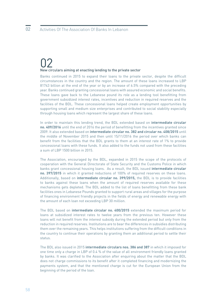### 02 New circulars aiming at enacting lending to the private sector

Banks continued in 2015 to expand their loans to the private sector, despite the difficult circumstances in the country and the region. The amount of these loans increased to LBP 81743 billion at the end of the year or by an increase of 6.5% compared with the preceding year. Banks continued granting concessional loans with assured economic and social benefits. These loans gave back to the Lebanese pound its role as a lending tool benefitting from government subsidized interest rates, incentives and reduction in required reserves and the facilities of the BDL. These concessional loans helped create employment opportunities by supporting small and medium size enterprises and contributed to social stability especially through housing loans which represent the largest share of these loans.

In order to maintain this lending trend, the BDL extended based on **intermediate circular no. 409/2016** until the end of 2016 the period of benefitting from the incentives granted since 2009. It also extended based on **intermediate circular no. 382 and circular no. 408/2015** until the middle of November 2015 and then until 15/11/2016 the period over which banks can benefit from the facilities that the BDL grants to them at an interest rate of 1% to provide concessional loans with these funds. It also added to the funds not used from these facilities a sum of LBP 1500 billion in 2015.

The Association, encouraged by the BDL, expanded in 2015 the scope of the protocols of cooperation with the General Directorate of State Security and the Customs Police in which banks grant concessional housing loans. As a result, the BDL issued **intermediate circular no. 397/2015** in which it granted reductions of 100% of required reserves on these loans. Additionally, based on **intermediate circular no. 399/2015,** the BDL is to provide facilities to banks against these loans when the amount of required reserves available for these mechanisms gets depleted. The BDL added to the list of loans benefitting from these bank facilities ones in Lebanese Pounds granted to support rural areas and villages for the purpose of financing environment friendly projects in the fields of energy and renewable energy with the amount of each loan not exceeding LBP 30 million.

The BDL based on **intermediate circular no. 400/2015** extended the maximum period for loans at subsidized interest rates to twelve years from the previous ten. However these loans will not benefit from the interest subsidy during the extended period but only from the reduction in required reserves. Institutions are to bear the differences in subsidies distributing them over the remaining years. This helps institutions suffering from the difficult conditions in the country to continue their operations by granting them an additional period to settle their status.

The BDL also issued in 2015 **intermediate circulars nos. 386 and 387** in which it imposed for one time only a charge in LBP of 0.4 % of the value of all environment friendly loans granted by banks. It was clarified to the Association after enquiring about the matter that the BDL does not charge commissions to its benefit after it completed financing and modernizing the payments system, and that the mentioned charge is cut for the European Union from the beginning of the period of the loan.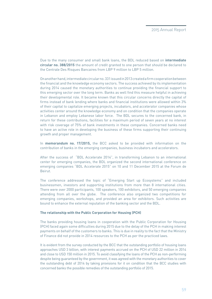Due to the many consumer and small bank loans, the BDL reduced based on **intermediate circular no. 388/2015** the amount of credit granted to one person that should be declared to the Centrale Des Risques Bancaires from LBP 9 million to LBP 5 million.

On another hand, intermediate circular no. 331 issued in 2013 created a firm cooperation between the financial and the knowledge economy sectors. The success achieved by its implementation during 2014 caused the monetary authorities to continue providing the financial support to this emerging sector over the long term. Banks as well find this measure helpful in achieving their developmental role. It became known that this circular concerns directly the capital of firms instead of bank lending where banks and financial institutions were allowed within 3% of their capital to capitalize emerging projects, incubators, and accelerator companies whose activities center around the knowledge economy and on condition that the companies operate in Lebanon and employ Lebanese labor force. The BDL secures to the concerned bank, in return for these contributions, facilities for a maximum period of seven years at no interest with risk coverage of 75% of bank investments in these companies. Concerned banks need to have an active role in developing the business of these firms supporting their continuing growth and proper management.

In **memorandum no. 17/2015,** the BCC asked to be provided with information on the contribution of banks in the emerging companies, business incubators and accelerators.

After the success of "BDL Accelerate 2014", in transforming Lebanon to an international center for emerging companies, the BDL organized the second international conference on emerging companies "BDL Accelerate 2015" on 10 and 11 December 2015 at the Forum de Beirut.

The conference addressed the topic of "Emerging Start up Ecosystems" and included businessmen, investors and supporting institutions from more than 8 international cities. There were over 2000 participants, 100 speakers, 100 exhibitors, and 50 emerging companies attending from all over the globe. The conference also organized two competitions for emerging companies, workshops, and provided an area for exhibitors. Such activities are bound to enhance the external reputation of the banking sector and the BDL.

#### **The relationship with the Public Corporation for Housing (PCH)**

The banks providing housing loans in cooperation with the Public Corporation for Housing (PCH) faced again some difficulties during 2015 due to the delay of the PCH in making interest payments on behalf of the customers to banks. This is due in reality to the fact that the Ministry of Finance did not provide in 2014 resources to the PCH as per the practiced laws.

It is evident from the survey conducted by the BCC that the outstanding portfolio of housing loans approaches USD 3 billion, with interest payments accrued on the PCH of USD 22 million in 2014 and close to USD 150 million in 2015. To avoid classifying the loans of the PCH as non-performing despite being guaranteed by the government, it was agreed with the monetary authorities to cover the outstanding debt of 2014 by taking provisions for it on condition that the BCC studies with concerned banks the possible remedies of the outstanding portfolio of 2015.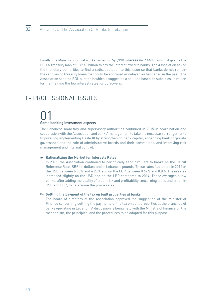Finally, the Ministry of Social works issued on **5/3/2015 decree no. 1463** in which it grants the PCH a Treasury loan of LBP 40 billion to pay the interest owed to banks. The Association asked the monetary authorities to find a radical solution to this issue so that banks do not remain the captives of Treasury loans that could be approved or delayed as happened in the past. The Association sent the BDL a letter in which it suggested a solution based on subsidies, in return for maintaining the low interest rates for borrowers.

### II- PROFESSIONAL ISSUES

# 01 Some banking investment aspects

#### The Lebanese monetary and supervisory authorities continued in 2015 in coordination and cooperation with the Association and banks' management to take the necessary arrangements to pursuing implementing Basle III by strengthening bank capital, enhancing bank corporate governance and the role of administrative boards and their committees, and improving risk management and internal control.

#### **Rationalizing the Market for Interests Rates** a-

In 2015, the Association continued to periodically send circulars to banks on the Beirut Reference Rate (BRR) in dollars and in Lebanese pounds. These rates fluctuated in 2015on the USD between 6.08% and 6.23% and on the LBP between 8.67% and 8.8%. These rates increased slightly on the USD and on the LBP compared to 2014. These averages allow banks, after adding the quality of credit risk and profitability concerning loans and credit in USD and LBP, to determine the prime rates.

#### **Settling the payment of the tax on built properties at banks** b-

The board of directors of the Association approved the suggestion of the Minister of Finance concerning settling the payments of the tax on built properties at the branches of banks operating in Lebanon. A discussion is being held with the Ministry of Finance on the mechanism, the principles, and the procedures to be adopted for this purpose.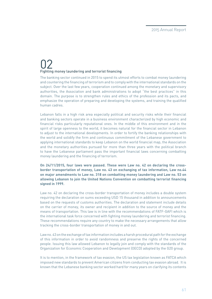### 02 Fighting money laundering and terrorist financing

The banking sector continued in 2015 to spend its utmost efforts to combat money laundering and countering the financing of terrorism and to comply with the international standards on the subject. Over the last few years, cooperation continued among the monetary and supervisory authorities, the Association and bank administrations to adopt "the best practices" in this domain. The purpose is to strengthen rules and ethics of the profession and its pacts, and emphasize the operation of preparing and developing the systems, and training the qualified human cadres.

Lebanon falls in a high risk area especially political and security risks while their financial and banking sectors operate in a business environment characterized by high economic and financial risks particularly reputational ones. In the middle of this environment and in the spirit of large openness to the world, it becomes natural for the financial sector in Lebanon to adjust to the international developments. In order to fortify the banking relationships with the world and solidify the firm and continuous commitment of the Lebanese government to applying international standards to keep Lebanon on the world financial map, the Association and the monetary authorities pursued for more than three years with the political branch to have the Lebanese parliament pass the important financial laws concerning combatting money laundering and the financing of terrorism.

**On 24/11/2015, four laws were passed. These were Law no. 42 on declaring the crossborder transportation of money, Law no. 43 on exchanging of tax information, Law no.44 on major amendments to Law no. 318 on combatting money laundering and Law no. 53 on allowing Lebanon to join the United Nations Convention on combatting terrorist financing signed in 1999.** 

Law no. 42 on declaring the cross-border transportation of money includes a double system requiring the declaration on sums exceeding USD 15 thousand in addition to announcements based on the requests of customs authorities. The declaration and statement include details on the carrier of money, its owner and recipient in addition to the source of money and the means of transportation. This law is in line with the recommendations of FATF-GAFI which is the international task force concerned with fighting money laundering and terrorist financing. These recommendations require any country to make the necessary arrangements that allow tracking the cross-border transportation of money in and out.

Law no. 43 on the exchange of tax information includes a harsh procedural path for the exchange of this information in order to avoid randomness and preserve the rights of the concerned people. Issuing this law allowed Lebanon to legally join and comply with the standards of the Organization for Economic Cooperation and Development (OECD) adopted by the G20 group.

It is to mention, in the framework of tax evasion, the US tax legislation known as FATCA which imposed new standards to prevent American citizens from conducting tax evasion abroad. It is known that the Lebanese banking sector worked hard for many years on clarifying its contents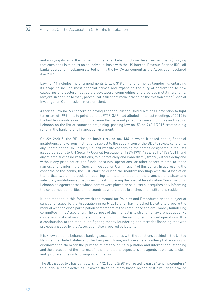and applying its laws. It is to mention that after Lebanon chose the agreement path (implying that each bank is to enlist on an individual basis with the US Internal Revenue Service IRS), all banks operating in Lebanon started joining the FATCA agreement as the Association declared it in 2014.

Law no. 44 includes major amendments to Law 318 on fighting money laundering, enlarging its scope to include most financial crimes and expanding the duty of declaration to new categories and sectors (real estate developers, commodities and precious metal merchants, lawyers) in addition to many procedural issues that make practicing the mission of the "Special Investigation Commission" more efficient.

As far as Law no. 53 concerning having Lebanon join the United Nations Convention to fight terrorism of 1999, it is to point-out that FATF-GAFI had alluded in its last meetings of 2015 to the last few countries including Lebanon that have not joined the convention. To avoid placing Lebanon on the list of countries not joining, passing law no. 53 on 24/11/2015 created a big relief in the banking and financial environment.

On 22/12/2015, the BDL issued **basic circular no. 136** in which it asked banks, financial institutions, and various institutions subject to the supervision of the BDL to review constantly any update on the UN Security Council website concerning the names designated in the lists issued pursuant to UN Security Council Resolutions (1267/1999, 1988/ 2011, 1989/2011) and any related successor resolutions, to automatically and immediately freeze, without delay and without any prior notice, the funds, accounts, operations, or other assets related to these names, and to inform the "Special Investigation Commission" of this action. In addressing the concerns of the banks, the BDL clarified during the monthly meetings with the Association that article two of this decision requiring its implementation on the branches and sister and subsidiary institutions abroad does not ask informing the Special Investigation Commission in Lebanon on agents abroad whose names were placed on said lists but requires only informing the concerned authorities of the countries where these branches and institutions reside.

It is to mention in this framework the Manual for Policies and Procedures on the subject of sanctions issued by the Association in early 2015 after having asked Deloitte to prepare the manual with the close participation of members of the compliance and anti-money laundering committee in the Association. The purpose of this manual is to strengthen awareness at banks concerning risks of sanctions and to shed light on the sanctioned financial operations. It is a continuation to the manual on fighting money laundering and terrorist financing that was previously issued by the Association also prepared by Deloitte.

It is known that the Lebanese banking sector complies with the sanctions decided in the United Nations, the United States and the European Union, and prevents any attempt at violating or circumventing them for the purpose of preserving its reputation and international standing and the protection of the interest of its shareholders, depositors and agents as well as its clear and good relations with correspondent banks.

The BDL issued two basic circulars no. 1/2015 and 2/2016 **directed towards "lending counters"**  to supervise their activities. It asked these counters based on the first circular to provide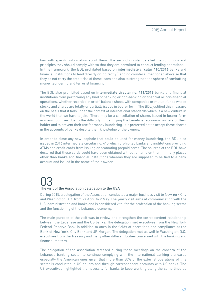him with specific information about them. The second circular detailed the conditions and principles they should comply with so that they are permitted to conduct lending operations. In this framework, the BDL prohibited based on **intermediate circular 410/2016** banks and financial institutions to lend directly or indirectly "lending counters" mentioned above so that they do not carry the credit risk of these loans and also to strengthen the sphere of combatting money laundering and terrorist financing.

The BDL also prohibited based on **intermediate circular no. 411/2016** banks and financial institutions from performing any kind of banking or non-banking or financial or non-financial operations, whether recorded in or off-balance sheet, with companies or mutual funds whose stocks and shares are totally or partially issued in bearer form. The BDL justified this measure on the basis that it falls under the context of international standards which is a new culture in the world that we have to join. There may be a cancellation of shares issued in bearer form in many countries due to the difficulty in identifying the beneficial economic owners of their holder and to prevent their use for money laundering. It is preferred not to accept these shares in the accounts of banks despite their knowledge of the owners.

In order to close any new loophole that could be used for money laundering, the BDL also issued in 2016 intermediate circular no. 415 which prohibited banks and institutions providing ATMs and credit cards from issuing or promoting prepaid cards. The sources of the BDL have declared that these cards could have been obtained without a name on them in many places other than banks and financial institutions whereas they are supposed to be tied to a bank account and issued in the name of their owner.

## 03 The visit of the Association delegation to the USA

During 2015, a delegation of the Association conducted a major business visit to New York City and Washington D.C. from 27 April to 2 May. The yearly visit aims at communicating with the U.S. administration and banks and is considered vital for the profession of the banking sector and the functioning of the Lebanese economy.

The main purpose of the visit was to review and strengthen the correspondent relationship between the Lebanese and the US banks. The delegation met executives from the New York Federal Reserve Bank in addition to ones in the fields of operations and compliance at the Bank of New York, City Bank and JP Morgan. The delegation met as well in Washington D.C. executives from the Treasury and many other different bodies concerned with the banking and financial matters.

The delegation of the Association stressed during these meetings on the concern of the Lebanese banking sector to continue complying with the international banking standards especially the American ones given that more than 80% of the external operations of this sector is conducted in US dollars and through correspondent accounts with US banks. The US executives highlighted the necessity for banks to keep working along the same lines as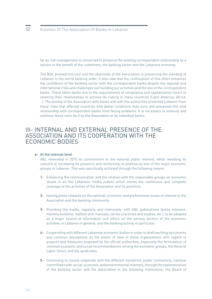far as risk management is concerned to preserve the existing correspondent relationship as a service to the benefit of the customers, the banking sector and the Lebanese economy.

The BDL praised this visit and the objectivity of the Association in preserving the standing of Lebanon in the world banking order. It also saw that the continuation of this effort enhances the confidence of the banking sector with the correspondent banks despite the regional and international risks and challenges surrounding our activities and the one of the correspondent banks. These latter banks due to the requirements of compliance and capitalization resort to severing their relationships to achieve de-risking in many countries (Latin America, Africa, ..). The activity of the Association with banks and with the authorities protected Lebanon from these risks that affected countries with better conditions than ours and prevented this vital relationship with correspondent banks from facing problems. It is necessary to intensify and continue these visits be it by the Association or by individual banks.

### III- INTERNAL AND EXTERNAL PRESENCE OF THE ASSOCIATION AND ITS COOPERATION WITH THE ECONOMIC BODIES

#### **At the internal level** a-

ABL reiterated in 2015 its commitment to the national public interest, while revealing its concern at increasing its presence and reinforcing its position as one of the major economic groups in Lebanon. This was specifically achieved through the following means:

- 1- Enhancing the communication and the relation with the responsible groups on economic issues in all the Lebanese media outlets which serves the continuous and complete coverage of the activities of the Association and its positions.
- 2- Issuing press releases on the national, economic and professional issues of interest to the Association and the banking community.
- **3-** Providing the media, regularly and intensively, with ABL publications (press releases, monthly bulletins, leaflets and manuals, series of articles and studies, etc.), to be adopted as a major source of information and ethics on the various sectors of the economic activities in Lebanon in general, and the banking activity in particular.
- Cooperating with different Lebanese economic bodies in order to draft working documents 4 and common perceptions on the points of view of these organizations with regard to projects and measures proposed by the official authorities, especially the formulation of common economic and social recommendations among the economic groups, the General Labor Union, and the syndicates.
- Continuing to closely cooperate with the different ministries, public institutions, national 5committees with social, economic, and environmental interests, through the representation of the banking sector and the Association in the following institutions: the Board of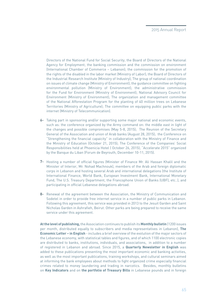Directors of the National Fund for Social Security; the Board of Directors of the National Agency for Employment; the banking commission and the commission on environment (International Chamber of Commerce – Lebanon); the commission for the promotion of the rights of the disabled in the labor market (Ministry of Labor); the Board of Directors of the Industrial Research Institute (Ministry of Industry); The group of national coordination on issues of climate change (Ministry of Environment); the guidance committee on fighting environmental pollution (Ministry of Environment); the administrative commission for the Fund for Environment (Ministry of Environment); National Advisory Council for Environment (Ministry of Environment); The organization and management committee of the National Afforestation Program for the planting of 40 million trees on Lebanese Territories (Ministry of Agriculture); The committee on equipping public parks with the internet (Ministry of Telecommunication).

- Taking part in sponsoring and/or supporting some major national and economic events, 6 such as: the conference organized by the Army command on: the middle east in light of the changes and possible compromises (May 5-8, 2015); The Reunion of the Secretary General of the Association and union of Arab banks (August 28, 2015); the Conference on "Strengthening the financial capaicity" in collaboration with the Ministry of Finance and the Ministry of Education (October 21, 2015); The Conference of the Companies' Social Responsibilities held at Phoenicia Hotel ( October 26, 2015); "Accelerate 2015" organized by the Banque du Liban (Forum de Beyrouth, December 10-11, 2015).
- **7-** Hosting a number of official figures (Minister of Finance Mr. Ali Hassan Khalil and the Minister of Interior, Mr. Nohad Machnouk), members of the Arab and foreign diplomatic corps in Lebanon and hosting several Arab and international delegations (the Institute of International Finance, World Bank, European Investment Bank, International Monetary Fund, The U.S. Treasury Department, the Francophone Union of Banks (UBF), etc..), and participating in official Lebanese delegations abroad.
- 8- Renewal of the agreement between the Association, the Ministry of Communication and Sodetel in order to provide free internet service in a number of public parks in Lebanon. Following this agreement, this service was provided in 2013 to the Jesuit Garden and Saint Nicholas Garden in Ashrafieh, Beirut. Other parks are being prepared to receive the same service under this agreement.

**At the level of publishing,** the Association continues to publish its **Monthly bulletin** (1200 issues per month, distributed equally to subscribers and media representatives in Lebanon), **The Economic Letter – in English** - includes a brief overview of the evolution of the major sectors of the Lebanese economy, with statistical tables and figures, and of which 1100 electronic copies are distributed to banks, institutions, individuals, and associations, in addition to a number of registered in Lebanon and abroad. Since 2015, a **Quarterly Newsletter in English** was added to these publications presenting the most important economic and banking activities, as well as the most important publications, training workshops, and cultural seminars aimed at informing the bank employees about methods to fight organized crime especially financial crimes related to money laundering and trading in narcotics. Besides, monthly bulletins on **Key Indicators** and on **the portfolio of Treasury Bills** in Lebanese pounds and in foreign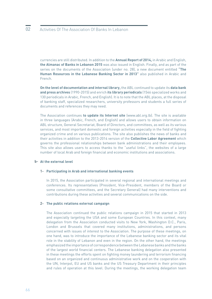currencies are still distributed. In addition to the **Annual Report of 2014,** in Arabic and English, **the Almanac of Banks in Lebanon 2015** was also issued in English. Finally, and as part of the series on the documents of the Association (under no. 28), a new document entitled **"The Human Resources in the Lebanese Banking Sector in 2013"** also published in Arabic and French.

**On the level of documentation and internal library,** the ABL continued to update its **data bank and press archives** (1990-2015) and enrich **its library periodicals** (1546 specialized works and 130 periodicals in Arabic, French, and English). It is to note that the ABL places, at the disposal of banking staff, specialized researchers, university professors and students a full series of documents and references they may need.

The Association continues **to update its Internet site** (www.abl.org.lb). The site is available in three languages (Arabic, French, and English) and allows users to obtain information on ABL structure, General Secretariat, Board of Directors, and committees, as well as its various services, and most important domestic and foreign activities especially in the field of fighting organized crime and on various publications. The site also publishes the news of banks and their activities in addition to the 2013-2014 version of the **Collective Labor Agreement** which governs the professional relationships between bank administrations and their employees. This site also allows users to access thanks to the "useful links", the websites of a large number of local Arab and foreign financial and economic institutions and associations.

#### b- **At the external level**

#### **Participating in Arab and international banking events** 1-

In 2015, the Association participated in several regional and international meetings and conferences. Its representatives (President, Vice-President, members of the Board or some consultative committees, and the Secretary General) had many interventions and contributions during these activities and several communications on the side.

#### **The public relations external campaign** 2-

The Association continued the public relations campaign in 2015 that started in 2013 and especially targeting the USA and some European Countries. In this context, many delegation from the Association conducted visits to New York, Washington D.C., Paris, London and Brussels that covered many institutions, administrations, and persons concerned with issues of interest to the Association. The purpose of these meetings, on one hand, was to introduce the importance of the Lebanese banking sector and its vital role in the stability of Lebanon and even in the region. On the other hand, the meetings emphasized the importance of correspondence between the Lebanese banks and the banks of the largest world financial centers. The Lebanese banking delegation also presented in these meetings the efforts spent on fighting money laundering and terrorism financing based on an organized and continuous administrative work and on the cooperation with the UN, Interpol, EU and US banks and the US Treasury Department in their principles and rules of operation at this level. During the meetings, the working delegation team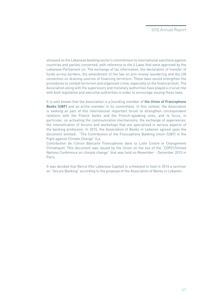stressed on the Lebanese banking sector's commitment to international sanctions against countries and parties concerned, with reference to the 4 Laws that were approved by the Lebanese Parliament on: The exchange of tax information, the declaration of transfer of funds across borders, the amendment of the law on anti-money laundering and the UN convention on draining sources of financing terrorism. These laws would strengthen the procedures to combat terrorism and organized crime, especially on the financial level. The Association along with the supervisory and monetary authorities have played a crucial role with both legislative and executive authorities in order to encourage issuing these laws.

It is well known that the Association is a founding member of **the Union of Francophone Banks (UBF)** and an active member in its committees. In this context, the Association is seeking as part of this international important forum to strengthen correspondent relations with the French banks and the French-speaking ones, and to focus, in particular, on activating the communication mechanisms, the exchange of experiences, the intensification of forums and workshops that are specialized in various aspects of the banking profession. In 2015, the Association of Banks in Lebanon agreed upon the document entitled: "The Contribution of the Francophone Banking Union (UBF) in the Fight against Climate Change" (La

Contribution de l'Union Bancaire Francophone dans la Lutte Contre le Changement Climatique). This document was issued by the Union on the eve of the "COP21/United Nations Conference on climate change" that was held on November - December 2015 in Paris.

It was decided that Beirut (the Lebanese Capital) is scheduled to host in 2016 a seminar on "Secure Banking" according to the proposal of the Association of Banks in Lebanon.